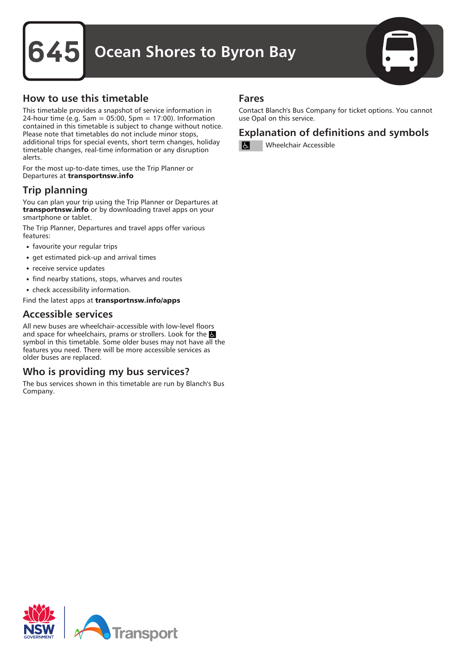## **Ocean Shores to Byron Bay**



#### How to use this timetable

This timetable provides a snapshot of service information in 24-hour time (e.g. 5am = 05:00, 5pm = 17:00). Information contained in this timetable is subject to change without notice. Please note that timetables do not include minor stops, additional trips for special events, short term changes, holiday timetable changes, real-time information or any disruption alerts.

For the most up-to-date times, use the Trip Planner or Departures at transportnsw.info

### Trip planning

You can plan your trip using the Trip Planner or Departures at transportnsw.info or by downloading travel apps on your smartphone or tablet.

The Trip Planner, Departures and travel apps offer various features:

- favourite your regular trips
- get estimated pick-up and arrival times
- receive service updates
- find nearby stations, stops, wharves and routes
- check accessibility information.

Find the latest apps at transportnsw.info/apps

#### Accessible services

All new buses are wheelchair-accessible with low-level floors and space for wheelchairs, prams or strollers. Look for the symbol in this timetable. Some older buses may not have all the features you need. There will be more accessible services as older buses are replaced.

#### Who is providing my bus services?

The bus services shown in this timetable are run by Blanch's Bus Company.

#### Fares

Contact Blanch's Bus Company for ticket options. You cannot use Opal on this service.

#### Explanation of definitions and symbols

Wheelchair Accessible

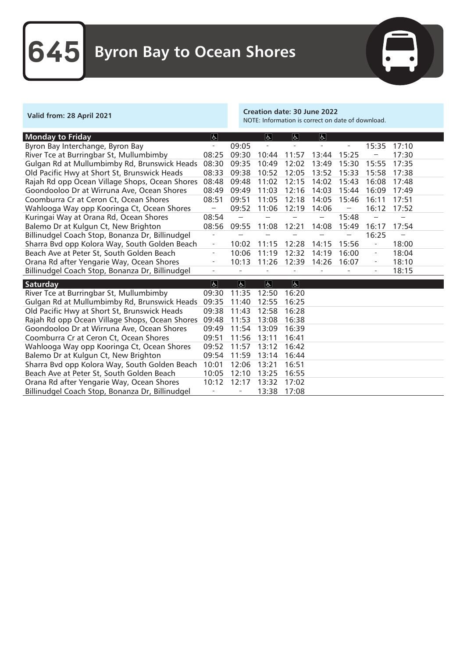

Valid from: 28 April 2021 Creation date: 30 June 2022 NOTE: Information is correct on date of download.

| Byron Bay Interchange, Byron Bay<br>09:05<br>15:35<br>17:10<br>$\overline{a}$<br>$\overline{\phantom{0}}$<br>$\overline{a}$          |  |
|--------------------------------------------------------------------------------------------------------------------------------------|--|
|                                                                                                                                      |  |
| River Tce at Burringbar St, Mullumbimby<br>08:25<br>09:30<br>15:25<br>17:30<br>10:44<br>11:57<br>13:44                               |  |
| Gulgan Rd at Mullumbimby Rd, Brunswick Heads<br>08:30<br>09:35<br>12:02<br>10:49<br>13:49<br>15:30<br>15:55<br>17:35                 |  |
| Old Pacific Hwy at Short St, Brunswick Heads<br>08:33<br>09:38<br>10:52<br>12:05<br>17:38<br>13:52<br>15:33<br>15:58                 |  |
| Rajah Rd opp Ocean Village Shops, Ocean Shores<br>08:48<br>09:48<br>12:15<br>17:48<br>11:02<br>14:02<br>15:43<br>16:08               |  |
| Goondooloo Dr at Wirruna Ave, Ocean Shores<br>11:03<br>12:16<br>08:49<br>09:49<br>14:03<br>15:44<br>16:09<br>17:49                   |  |
| Coomburra Cr at Ceron Ct, Ocean Shores<br>08:51<br>09:51<br>11:05<br>12:18<br>17:51<br>14:05<br>15:46<br>16:11                       |  |
| 12:19<br>Wahlooga Way opp Kooringa Ct, Ocean Shores<br>09:52<br>11:06<br>14:06<br>16:12<br>17:52                                     |  |
| Kuringai Way at Orana Rd, Ocean Shores<br>08:54<br>15:48                                                                             |  |
| Balemo Dr at Kulgun Ct, New Brighton<br>08:56<br>09:55<br>12:21<br>15:49<br>16:17<br>17:54<br>11:08<br>14:08                         |  |
| 16:25<br>Billinudgel Coach Stop, Bonanza Dr, Billinudgel                                                                             |  |
| 15:56<br>Sharra Bvd opp Kolora Way, South Golden Beach<br>12:28<br>18:00<br>10:02<br>11:15<br>14:15                                  |  |
| Beach Ave at Peter St, South Golden Beach<br>10:06<br>11:19<br>12:32<br>16:00<br>18:04<br>14:19<br>$\hspace{1.0cm} - \hspace{1.0cm}$ |  |
| Orana Rd after Yengarie Way, Ocean Shores<br>10:13<br>11:26<br>12:39<br>14:26<br>18:10<br>16:07<br>$\overline{\phantom{a}}$          |  |
| Billinudgel Coach Stop, Bonanza Dr, Billinudgel<br>18:15<br>L.<br>$\equiv$<br>$\bar{a}$<br>$\overline{\phantom{a}}$                  |  |
| $\overline{d}$<br>$\overline{ \mathbf{b} }$<br>$\overline{d}$<br>$ \mathbf{F} $<br><b>Saturday</b>                                   |  |
| River Tce at Burringbar St, Mullumbimby<br>11:35<br>12:50<br>16:20<br>09:30                                                          |  |
| Gulgan Rd at Mullumbimby Rd, Brunswick Heads<br>09:35<br>11:40<br>16:25<br>12:55                                                     |  |
| Old Pacific Hwy at Short St, Brunswick Heads<br>09:38<br>11:43<br>12:58<br>16:28                                                     |  |
| Rajah Rd opp Ocean Village Shops, Ocean Shores<br>09:48<br>11:53<br>16:38<br>13:08                                                   |  |
| Goondooloo Dr at Wirruna Ave, Ocean Shores<br>09:49<br>11:54<br>16:39<br>13:09                                                       |  |
| 09:51<br>11:56<br>Coomburra Cr at Ceron Ct, Ocean Shores<br>13:11<br>16:41                                                           |  |
| Wahlooga Way opp Kooringa Ct, Ocean Shores<br>09:52<br>11:57<br>13:12<br>16:42                                                       |  |
| 09:54<br>Balemo Dr at Kulgun Ct, New Brighton<br>11:59<br>13:14<br>16:44                                                             |  |
| Sharra Bvd opp Kolora Way, South Golden Beach<br>10:01<br>12:06<br>16:51<br>13:21                                                    |  |
|                                                                                                                                      |  |
| 10:05<br>13:25<br>16:55                                                                                                              |  |
| 12:10<br>Beach Ave at Peter St, South Golden Beach<br>12:17<br>Orana Rd after Yengarie Way, Ocean Shores<br>10:12<br>13:32<br>17:02  |  |